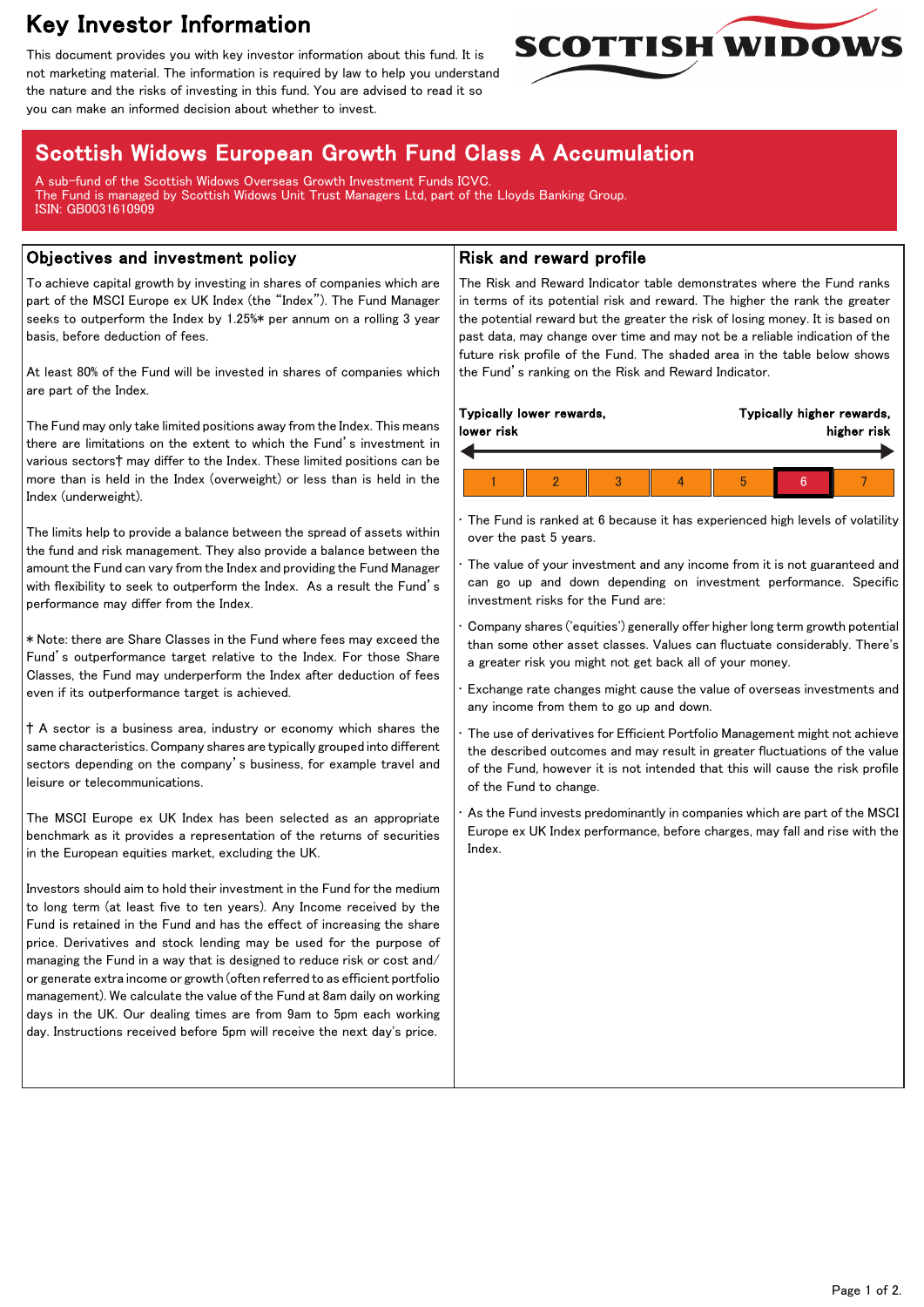# Key Investor Information

This document provides you with key investor information about this fund. It is not marketing material. The information is required by law to help you understand the nature and the risks of investing in this fund. You are advised to read it so you can make an informed decision about whether to invest.



# Scottish Widows European Growth Fund Class A Accumulation

A sub-fund of the Scottish Widows Overseas Growth Investment Funds ICVC. The Fund is managed by Scottish Widows Unit Trust Managers Ltd, part of the Lloyds Banking Group. ISIN: GB0031610909

### Objectives and investment policy

To achieve capital growth by investing in shares of companies which are part of the MSCI Europe ex UK Index (the "Index"). The Fund Manager seeks to outperform the Index by 1.25%\* per annum on a rolling 3 year basis, before deduction of fees.

At least 80% of the Fund will be invested in shares of companies which are part of the Index.

The Fund may only take limited positions away from the Index. This means there are limitations on the extent to which the Fund's investment in various sectors† may differ to the Index. These limited positions can be more than is held in the Index (overweight) or less than is held in the Index (underweight).

The limits help to provide a balance between the spread of assets within the fund and risk management. They also provide a balance between the amount the Fund can vary from the Index and providing the Fund Manager with flexibility to seek to outperform the Index. As a result the Fund's performance may differ from the Index.

\* Note: there are Share Classes in the Fund where fees may exceed the Fund's outperformance target relative to the Index. For those Share Classes, the Fund may underperform the Index after deduction of fees even if its outperformance target is achieved.

† A sector is a business area, industry or economy which shares the same characteristics. Company shares are typically grouped into different sectors depending on the company's business, for example travel and leisure or telecommunications.

The MSCI Europe ex UK Index has been selected as an appropriate benchmark as it provides a representation of the returns of securities in the European equities market, excluding the UK.

Investors should aim to hold their investment in the Fund for the medium to long term (at least five to ten years). Any Income received by the Fund is retained in the Fund and has the effect of increasing the share price. Derivatives and stock lending may be used for the purpose of managing the Fund in a way that is designed to reduce risk or cost and/ or generate extra income or growth (often referred to as efficient portfolio management). We calculate the value of the Fund at 8am daily on working days in the UK. Our dealing times are from 9am to 5pm each working day. Instructions received before 5pm will receive the next day's price.

## Risk and reward profile

The Risk and Reward Indicator table demonstrates where the Fund ranks in terms of its potential risk and reward. The higher the rank the greater the potential reward but the greater the risk of losing money. It is based on past data, may change over time and may not be a reliable indication of the future risk profile of the Fund. The shaded area in the table below shows the Fund's ranking on the Risk and Reward Indicator.

| Typically lower rewards,<br>lower risk |  |  |  | Typically higher rewards,<br>higher risk |  |  |  |
|----------------------------------------|--|--|--|------------------------------------------|--|--|--|
|                                        |  |  |  |                                          |  |  |  |
|                                        |  |  |  | h                                        |  |  |  |

The Fund is ranked at 6 because it has experienced high levels of volatility over the past 5 years.

The value of your investment and any income from it is not guaranteed and can go up and down depending on investment performance. Specific investment risks for the Fund are:

• Company shares ('equities') generally offer higher long term growth potential than some other asset classes. Values can fluctuate considerably. There's a greater risk you might not get back all of your money.

• Exchange rate changes might cause the value of overseas investments and any income from them to go up and down.

The use of derivatives for Efficient Portfolio Management might not achieve the described outcomes and may result in greater fluctuations of the value of the Fund, however it is not intended that this will cause the risk profile of the Fund to change.

As the Fund invests predominantly in companies which are part of the MSCI Europe ex UK Index performance, before charges, may fall and rise with the Index.